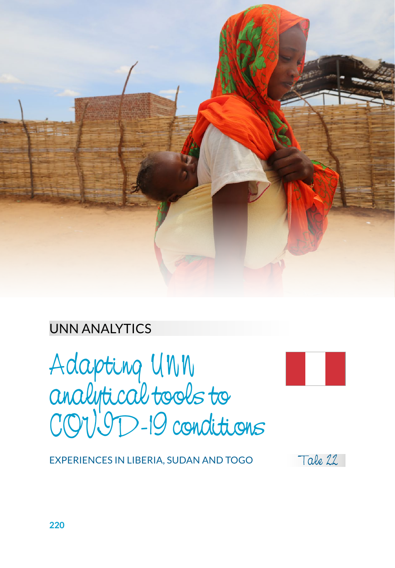

#### UNN ANALYTICS

Adapting UNN analytical tools to COVID-19 conditions



EXPERIENCES IN LIBERIA, SUDAN AND TOGO

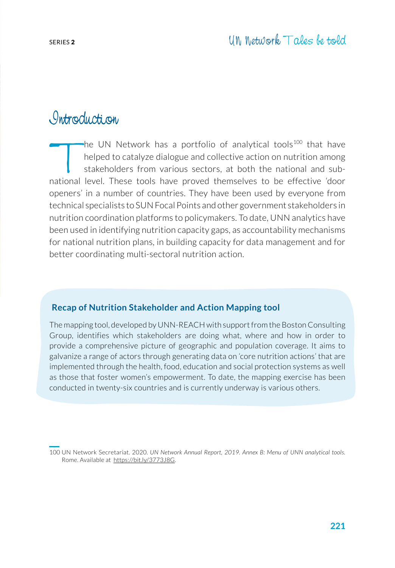#### Introduction

The UN Network has a portfolio of analytical tools<sup>100</sup> that have<br>helped to catalyze dialogue and collective action on nutrition among<br>stakeholders from various sectors, at both the national and sub-<br>national level. These helped to catalyze dialogue and collective action on nutrition among stakeholders from various sectors, at both the national and subnational level. These tools have proved themselves to be effective 'door openers' in a number of countries. They have been used by everyone from technical specialists to SUN Focal Points and other government stakeholders in nutrition coordination platforms to policymakers. To date, UNN analytics have been used in identifying nutrition capacity gaps, as accountability mechanisms for national nutrition plans, in building capacity for data management and for better coordinating multi-sectoral nutrition action.

#### **Recap of Nutrition Stakeholder and Action Mapping tool**

The mapping tool, developed by UNN-REACH with support from the Boston Consulting Group, identifies which stakeholders are doing what, where and how in order to provide a comprehensive picture of geographic and population coverage. It aims to galvanize a range of actors through generating data on 'core nutrition actions' that are implemented through the health, food, education and social protection systems as well as those that foster women's empowerment. To date, the mapping exercise has been conducted in twenty-six countries and is currently underway is various others.

100 UN Network Secretariat. 2020. *UN Network Annual Report, 2019. Annex B: Menu of UNN analytical tools.*  Rome. Available at [https://bit.ly/3773J8G.](https://bit.ly/3773J8G)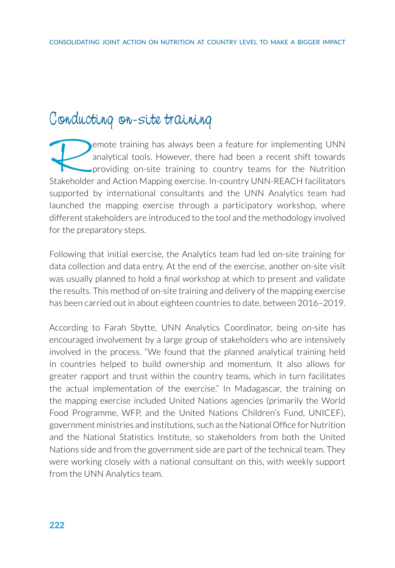#### Conducting on-site training

emote training has always been a feature for implementing UNN analytical tools. However, there had been a recent shift towards providing on-site training to country teams for the Nutrition Stakeholder and Action Mapping exercise. In-country UNN-REACH facilitators supported by international consultants and the UNN Analytics team had launched the mapping exercise through a participatory workshop, where different stakeholders are introduced to the tool and the methodology involved for the preparatory steps.

Following that initial exercise, the Analytics team had led on-site training for data collection and data entry. At the end of the exercise, another on-site visit was usually planned to hold a final workshop at which to present and validate the results. This method of on-site training and delivery of the mapping exercise has been carried out in about eighteen countries to date, between 2016–2019.

According to Farah Sbytte, UNN Analytics Coordinator, being on-site has encouraged involvement by a large group of stakeholders who are intensively involved in the process. "We found that the planned analytical training held in countries helped to build ownership and momentum. It also allows for greater rapport and trust within the country teams, which in turn facilitates the actual implementation of the exercise." In Madagascar, the training on the mapping exercise included United Nations agencies (primarily the World Food Programme, WFP, and the United Nations Children's Fund, UNICEF), government ministries and institutions, such as the National Office for Nutrition and the National Statistics Institute, so stakeholders from both the United Nations side and from the government side are part of the technical team. They were working closely with a national consultant on this, with weekly support from the UNN Analytics team.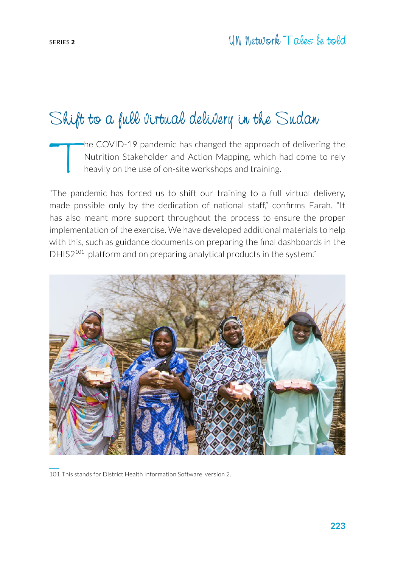## Shift to a full virtual delivery in the Sudan

the COVID-19 pandemic has changed the approach of delivering the Nutrition Stakeholder and Action Mapping, which had come to rely heavily on the use of on-site workshops and training.

"The pandemic has forced us to shift our training to a full virtual delivery, made possible only by the dedication of national staff," confirms Farah. "It has also meant more support throughout the process to ensure the proper implementation of the exercise. We have developed additional materials to help with this, such as guidance documents on preparing the final dashboards in the DHIS2<sup>101</sup> platform and on preparing analytical products in the system."



101 This stands for District Health Information Software, version 2.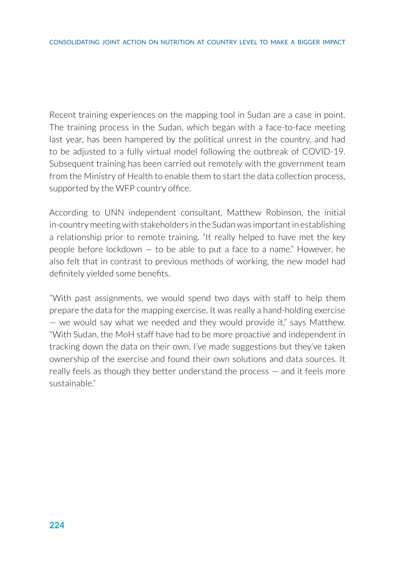Recent training experiences on the mapping tool in Sudan are a case in point. The training process in the Sudan, which began with a face-to-face meeting last year, has been hampered by the political unrest in the country, and had to be adjusted to a fully virtual model following the outbreak of COVID-19. Subsequent training has been carried out remotely with the government team from the Ministry of Health to enable them to start the data collection process, supported by the WFP country office.

According to UNN independent consultant, Matthew Robinson, the initial in-country meeting with stakeholders in the Sudan was important in establishing a relationship prior to remote training. "It really helped to have met the key people before lockdown — to be able to put a face to a name." However, he also felt that in contrast to previous methods of working, the new model had definitely yielded some benefits.

"With past assignments, we would spend two days with staff to help them prepare the data for the mapping exercise. It was really a hand-holding exercise — we would say what we needed and they would provide it," says Matthew. "With Sudan, the MoH staff have had to be more proactive and independent in tracking down the data on their own. I've made suggestions but they've taken ownership of the exercise and found their own solutions and data sources. It really feels as though they better understand the process — and it feels more sustainable."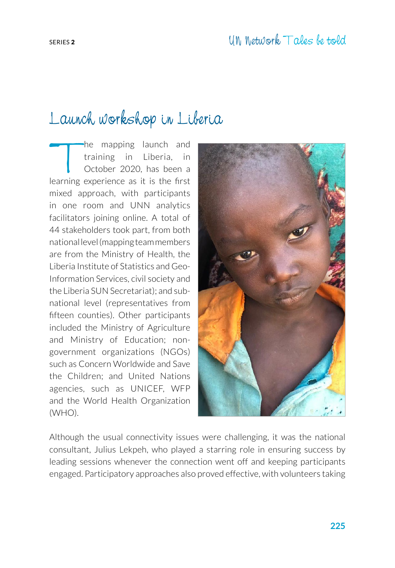# Launch workshop in Liberia

The mapping launch and<br>training in Liberia, in<br>October 2020, has been a<br>earning experience as it is the first training in Liberia, in October 2020, has been a learning experience as it is the first mixed approach, with participants in one room and UNN analytics facilitators joining online. A total of 44 stakeholders took part, from both national level (mapping team members are from the Ministry of Health, the Liberia Institute of Statistics and Geo-Information Services, civil society and the Liberia SUN Secretariat); and subnational level (representatives from fifteen counties). Other participants included the Ministry of Agriculture and Ministry of Education; nongovernment organizations (NGOs) such as Concern Worldwide and Save the Children; and United Nations agencies, such as UNICEF, WFP and the World Health Organization (WHO).



Although the usual connectivity issues were challenging, it was the national consultant, Julius Lekpeh, who played a starring role in ensuring success by leading sessions whenever the connection went off and keeping participants engaged. Participatory approaches also proved effective, with volunteers taking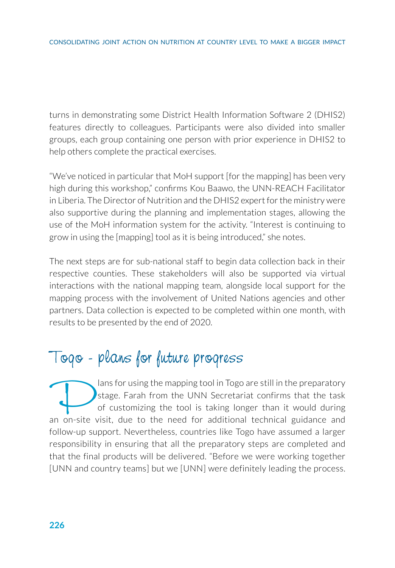turns in demonstrating some District Health Information Software 2 (DHIS2) features directly to colleagues. Participants were also divided into smaller groups, each group containing one person with prior experience in DHIS2 to help others complete the practical exercises.

"We've noticed in particular that MoH support [for the mapping] has been very high during this workshop," confirms Kou Baawo, the UNN-REACH Facilitator in Liberia. The Director of Nutrition and the DHIS2 expert for the ministry were also supportive during the planning and implementation stages, allowing the use of the MoH information system for the activity. "Interest is continuing to grow in using the [mapping] tool as it is being introduced," she notes.

The next steps are for sub-national staff to begin data collection back in their respective counties. These stakeholders will also be supported via virtual interactions with the national mapping team, alongside local support for the mapping process with the involvement of United Nations agencies and other partners. Data collection is expected to be completed within one month, with results to be presented by the end of 2020.

## Togo - plans for future progress

ans for using the mapping tool in Togo are still in the preparatory<br>stage. Farah from the UNN Secretariat confirms that the task<br>of customizing the tool is taking longer than it would during<br>in on-site visit, due to the ne stage. Farah from the UNN Secretariat confirms that the task of customizing the tool is taking longer than it would during an on-site visit, due to the need for additional technical guidance and follow-up support. Nevertheless, countries like Togo have assumed a larger responsibility in ensuring that all the preparatory steps are completed and that the final products will be delivered. "Before we were working together [UNN and country teams] but we [UNN] were definitely leading the process.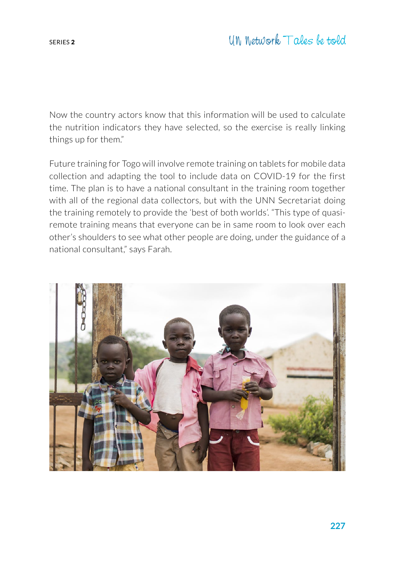Now the country actors know that this information will be used to calculate the nutrition indicators they have selected, so the exercise is really linking things up for them."

Future training for Togo will involve remote training on tablets for mobile data collection and adapting the tool to include data on COVID-19 for the first time. The plan is to have a national consultant in the training room together with all of the regional data collectors, but with the UNN Secretariat doing the training remotely to provide the 'best of both worlds'. "This type of quasiremote training means that everyone can be in same room to look over each other's shoulders to see what other people are doing, under the guidance of a national consultant," says Farah.

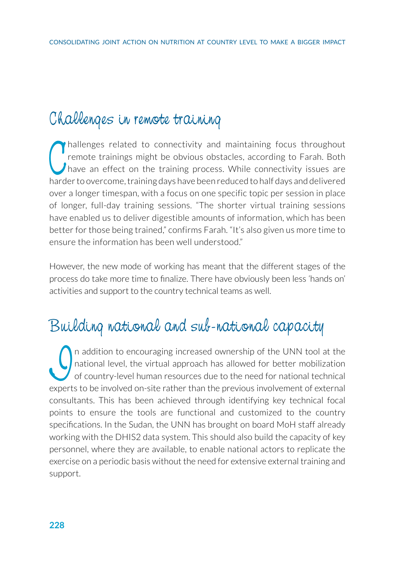### Challenges in remote training

Thallenges related to connectivity and maintaining focus throughout remote trainings might be obvious obstacles, according to Farah. Both have an effect on the training process. While connectivity issues are harder to over hallenges related to connectivity and maintaining focus throughout remote trainings might be obvious obstacles, according to Farah. Both I have an effect on the training process. While connectivity issues are over a longer timespan, with a focus on one specific topic per session in place of longer, full-day training sessions. "The shorter virtual training sessions have enabled us to deliver digestible amounts of information, which has been better for those being trained," confirms Farah. "It's also given us more time to ensure the information has been well understood."

However, the new mode of working has meant that the different stages of the process do take more time to finalize. There have obviously been less 'hands on' activities and support to the country technical teams as well.

## Building national and sub-national capacity

In addition to encouraging increased ownership of the UNN tool at the national level, the virtual approach has allowed for better mobilization of country-level human resources due to the need for national technical experts national level, the virtual approach has allowed for better mobilization of country-level human resources due to the need for national technical experts to be involved on-site rather than the previous involvement of external consultants. This has been achieved through identifying key technical focal points to ensure the tools are functional and customized to the country specifications. In the Sudan, the UNN has brought on board MoH staff already working with the DHIS2 data system. This should also build the capacity of key personnel, where they are available, to enable national actors to replicate the exercise on a periodic basis without the need for extensive external training and support.